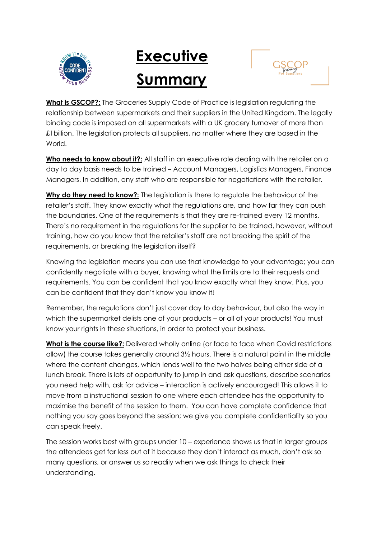

## **Executive Summary**



**What is GSCOP?:** The Groceries Supply Code of Practice is legislation regulating the relationship between supermarkets and their suppliers in the United Kingdom. The legally binding code is imposed on all supermarkets with a UK grocery turnover of more than £1billion. The legislation protects all suppliers, no matter where they are based in the World.

**Who needs to know about it?:** All staff in an executive role dealing with the retailer on a day to day basis needs to be trained – Account Managers, Logistics Managers, Finance Managers. In addition, any staff who are responsible for negotiations with the retailer.

**Why do they need to know?:** The legislation is there to regulate the behaviour of the retailer's staff. They know exactly what the regulations are, and how far they can push the boundaries. One of the requirements is that they are re-trained every 12 months. There's no requirement in the regulations for the supplier to be trained, however, without training, how do you know that the retailer's staff are not breaking the spirit of the requirements, or breaking the legislation itself?

Knowing the legislation means you can use that knowledge to your advantage; you can confidently negotiate with a buyer, knowing what the limits are to their requests and requirements. You can be confident that you know exactly what they know. Plus, you can be confident that they don't know you know it!

Remember, the regulations don't just cover day to day behaviour, but also the way in which the supermarket delists one of your products – or all of your products! You must know your rights in these situations, in order to protect your business.

**What is the course like?:** Delivered wholly online (or face to face when Covid restrictions allow) the course takes generally around 3½ hours. There is a natural point in the middle where the content changes, which lends well to the two halves being either side of a lunch break. There is lots of opportunity to jump in and ask questions, describe scenarios you need help with, ask for advice – interaction is actively encouraged! This allows it to move from a instructional session to one where each attendee has the opportunity to maximise the benefit of the session to them. You can have complete confidence that nothing you say goes beyond the session; we give you complete confidentiality so you can speak freely.

The session works best with groups under 10 – experience shows us that in larger groups the attendees get far less out of it because they don't interact as much, don't ask so many questions, or answer us so readily when we ask things to check their understanding.